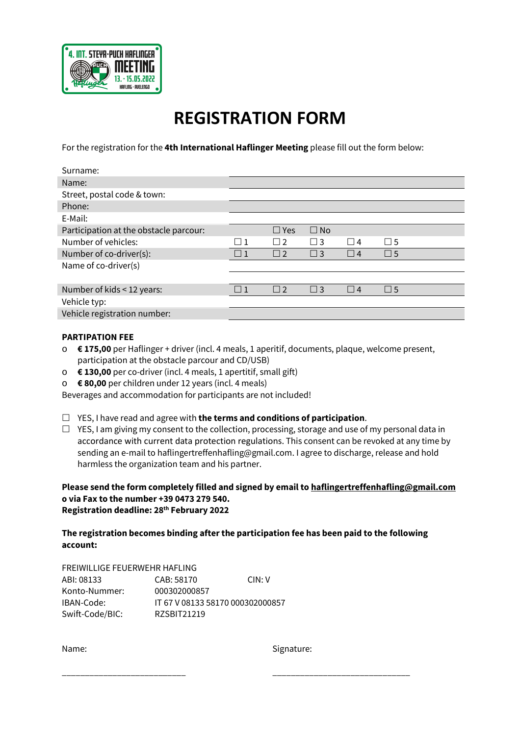

## **REGISTRATION FORM**

For the registration for the **4th International Haflinger Meeting** please fill out the form below:

| Surname:                               |    |            |              |          |             |
|----------------------------------------|----|------------|--------------|----------|-------------|
| Name:                                  |    |            |              |          |             |
| Street, postal code & town:            |    |            |              |          |             |
| Phone:                                 |    |            |              |          |             |
| E-Mail:                                |    |            |              |          |             |
| Participation at the obstacle parcour: |    | $\Box$ Yes | $\square$ No |          |             |
| Number of vehicles:                    | -1 | $\Box$     | $\square$ 3  | $\Box$ 4 | $\Box$ 5    |
| Number of co-driver(s):                | -1 | $\Box$ 2   | $\Box$ 3     | $\Box$ 4 | $\square$ 5 |
| Name of co-driver(s)                   |    |            |              |          |             |
|                                        |    |            |              |          |             |
| Number of kids < 12 years:             |    | $\Box$ 2   | $\Box$ 3     | $\Box$ 4 | $\square$ 5 |
| Vehicle typ:                           |    |            |              |          |             |
| Vehicle registration number:           |    |            |              |          |             |
|                                        |    |            |              |          |             |

#### **PARTIPATION FEE**

- o **€ 175,00** per Haflinger + driver (incl. 4 meals, 1 aperitif, documents, plaque, welcome present, participation at the obstacle parcour and CD/USB)
- o **€ 130,00** per co-driver (incl. 4 meals, 1 apertitif, small gift)
- o **€ 80,00** per children under 12 years (incl. 4 meals)

Beverages and accommodation for participants are not included!

- YES, I have read and agree with **the terms and conditions of participation**.
- $\Box$  YES, I am giving my consent to the collection, processing, storage and use of my personal data in accordance with current data protection regulations. This consent can be revoked at any time by sending an e-mail to haflingertreffenhafling@gmail.com. I agree to discharge, release and hold harmless the organization team and his partner.

#### **Please send the form completely filled and signed by email to haflingertreffenhafling@gmail.com o via Fax to the number +39 0473 279 540. Registration deadline: 28th February 2022**

### **The registration becomes binding after the participation fee has been paid to the following account:**

\_\_\_\_\_\_\_\_\_\_\_\_\_\_\_\_\_\_\_\_\_\_\_\_\_\_\_ \_\_\_\_\_\_\_\_\_\_\_\_\_\_\_\_\_\_\_\_\_\_\_\_\_\_\_\_\_\_

| FREIWILLIGE FEUERWEHR HAFLING |                                  |       |  |  |  |
|-------------------------------|----------------------------------|-------|--|--|--|
| ABI: 08133                    | CAB: 58170                       | CIN:V |  |  |  |
| Konto-Nummer:                 | 000302000857                     |       |  |  |  |
| IBAN-Code:                    | IT 67 V 08133 58170 000302000857 |       |  |  |  |
| Swift-Code/BIC:               | RZSBIT21219                      |       |  |  |  |

Name: Signature: